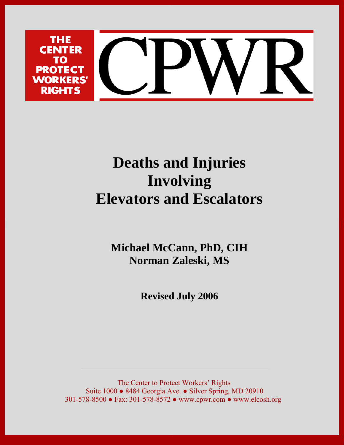

# **Deaths and Injuries Involving Elevators and Escalators**

**Michael McCann, PhD, CIH Norman Zaleski, MS** 

**Revised July 2006** 

The Center to Protect Workers' Rights Suite 1000 ● 8484 Georgia Ave. ● Silver Spring, MD 20910 301-578-8500 ● Fax: 301-578-8572 ● www.cpwr.com ● www.elcosh.org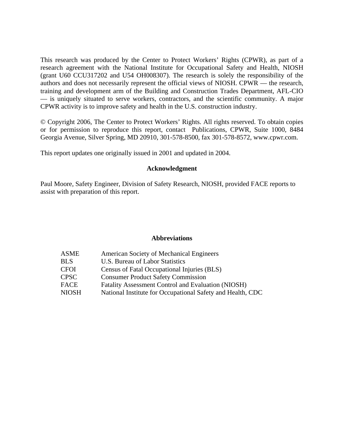This research was produced by the Center to Protect Workers' Rights (CPWR), as part of a research agreement with the National Institute for Occupational Safety and Health, NIOSH (grant U60 CCU317202 and U54 OH008307). The research is solely the responsibility of the authors and does not necessarily represent the official views of NIOSH. CPWR — the research, training and development arm of the Building and Construction Trades Department, AFL-CIO — is uniquely situated to serve workers, contractors, and the scientific community. A major CPWR activity is to improve safety and health in the U.S. construction industry.

© Copyright 2006, The Center to Protect Workers' Rights. All rights reserved. To obtain copies or for permission to reproduce this report, contact Publications, CPWR, Suite 1000, 8484 Georgia Avenue, Silver Spring, MD 20910, 301-578-8500, fax 301-578-8572, www.cpwr.com.

This report updates one originally issued in 2001 and updated in 2004.

#### **Acknowledgment**

Paul Moore, Safety Engineer, Division of Safety Research, NIOSH, provided FACE reports to assist with preparation of this report.

### **Abbreviations**

| ASME        | American Society of Mechanical Engineers                   |
|-------------|------------------------------------------------------------|
| <b>BLS</b>  | U.S. Bureau of Labor Statistics                            |
| CFOI        | Census of Fatal Occupational Injuries (BLS)                |
| <b>CPSC</b> | <b>Consumer Product Safety Commission</b>                  |
| FACE        | <b>Fatality Assessment Control and Evaluation (NIOSH)</b>  |
| NIOSH       | National Institute for Occupational Safety and Health, CDC |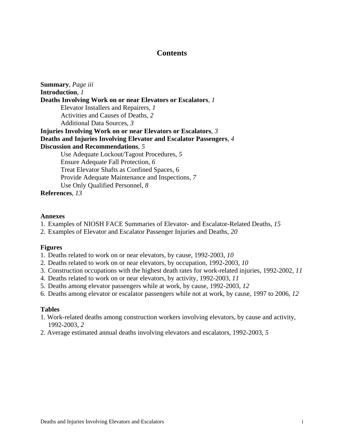# **Contents**

**Summary**, *Page iii* **Introduction**, *1* **Deaths Involving Work on or near Elevators or Escalators**, *1*  Elevator Installers and Repairers, *1* Activities and Causes of Deaths, *2*  Additional Data Sources, *3* **Injuries Involving Work on or near Elevators or Escalators**, *3* **Deaths and Injuries Involving Elevator and Escalator Passengers**, *4* **Discussion and Recommendations**, *5* Use Adequate Lockout/Tagout Procedures, *5*  Ensure Adequate Fall Protection, *6*  Treat Elevator Shafts as Confined Spaces, 6 Provide Adequate Maintenance and Inspections, *7* Use Only Qualified Personnel, *8* **References**, *13* 

#### **Annexes**

- 1. Examples of NIOSH FACE Summaries of Elevator- and Escalator-Related Deaths, *15*
- 2. Examples of Elevator and Escalator Passenger Injuries and Deaths, *20*

#### **Figures**

- 1. Deaths related to work on or near elevators, by cause, 1992-2003, *10*
- 2. Deaths related to work on or near elevators, by occupation, 1992-2003, *10*
- 3. Construction occupations with the highest death rates for work-related injuries, 1992-2002, *11*
- 4. Deaths related to work on or near elevators, by activity, 1992-2003, *11*
- 5. Deaths among elevator passengers while at work, by cause, 1992-2003, *12*
- 6. Deaths among elevator or escalator passengers while not at work, by cause, 1997 to 2006, *12*

#### **Tables**

- 1. Work-related deaths among construction workers involving elevators, by cause and activity, 1992-2003, *2*
- 2. Average estimated annual deaths involving elevators and escalators, 1992-2003, *5*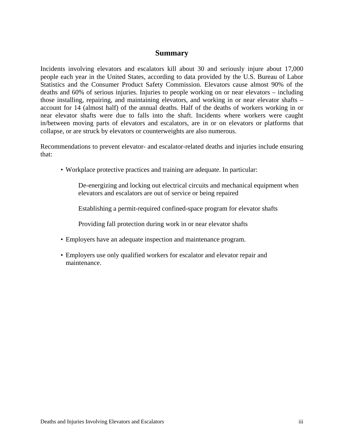### **Summary**

Incidents involving elevators and escalators kill about 30 and seriously injure about 17,000 people each year in the United States, according to data provided by the U.S. Bureau of Labor Statistics and the Consumer Product Safety Commission. Elevators cause almost 90% of the deaths and 60% of serious injuries. Injuries to people working on or near elevators – including those installing, repairing, and maintaining elevators, and working in or near elevator shafts – account for 14 (almost half) of the annual deaths. Half of the deaths of workers working in or near elevator shafts were due to falls into the shaft. Incidents where workers were caught in/between moving parts of elevators and escalators, are in or on elevators or platforms that collapse, or are struck by elevators or counterweights are also numerous.

Recommendations to prevent elevator- and escalator-related deaths and injuries include ensuring that:

• Workplace protective practices and training are adequate. In particular:

De-energizing and locking out electrical circuits and mechanical equipment when elevators and escalators are out of service or being repaired

Establishing a permit-required confined-space program for elevator shafts

Providing fall protection during work in or near elevator shafts

- Employers have an adequate inspection and maintenance program.
- Employers use only qualified workers for escalator and elevator repair and maintenance.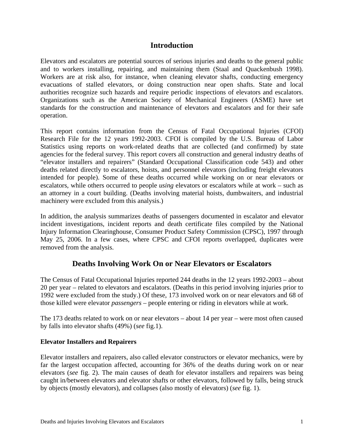# **Introduction**

Elevators and escalators are potential sources of serious injuries and deaths to the general public and to workers installing, repairing, and maintaining them (Staal and Quackenbush 1998). Workers are at risk also, for instance, when cleaning elevator shafts, conducting emergency evacuations of stalled elevators, or doing construction near open shafts. State and local authorities recognize such hazards and require periodic inspections of elevators and escalators. Organizations such as the American Society of Mechanical Engineers (ASME) have set standards for the construction and maintenance of elevators and escalators and for their safe operation.

This report contains information from the Census of Fatal Occupational Injuries (CFOI) Research File for the 12 years 1992-2003. CFOI is compiled by the U.S. Bureau of Labor Statistics using reports on work-related deaths that are collected (and confirmed) by state agencies for the federal survey. This report covers all construction and general industry deaths of "elevator installers and repairers" (Standard Occupational Classification code 543) and other deaths related directly to escalators, hoists, and personnel elevators (including freight elevators intended for people). Some of these deaths occurred while working on or near elevators or escalators, while others occurred to people *using* elevators or escalators while at work – such as an attorney in a court building. (Deaths involving material hoists, dumbwaiters, and industrial machinery were excluded from this analysis.)

In addition, the analysis summarizes deaths of passengers documented in escalator and elevator incident investigations, incident reports and death certificate files compiled by the National Injury Information Clearinghouse, Consumer Product Safety Commission (CPSC), 1997 through May 25, 2006. In a few cases, where CPSC and CFOI reports overlapped, duplicates were removed from the analysis.

# **Deaths Involving Work On or Near Elevators or Escalators**

The Census of Fatal Occupational Injuries reported 244 deaths in the 12 years 1992-2003 – about 20 per year – related to elevators and escalators. (Deaths in this period involving injuries prior to 1992 were excluded from the study.) Of these, 173 involved work on or near elevators and 68 of those killed were elevator *passengers* – people entering or riding in elevators while at work.

The 173 deaths related to work on or near elevators – about 14 per year – were most often caused by falls into elevator shafts (49%) (*see* fig.1).

# **Elevator Installers and Repairers**

Elevator installers and repairers, also called elevator constructors or elevator mechanics, were by far the largest occupation affected, accounting for 36% of the deaths during work on or near elevators (*see* fig. 2). The main causes of death for elevator installers and repairers was being caught in/between elevators and elevator shafts or other elevators, followed by falls, being struck by objects (mostly elevators), and collapses (also mostly of elevators) (*see* fig. 1).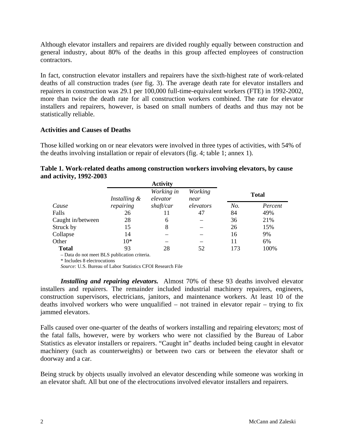Although elevator installers and repairers are divided roughly equally between construction and general industry, about 80% of the deaths in this group affected employees of construction contractors.

In fact, construction elevator installers and repairers have the sixth-highest rate of work-related deaths of all construction trades (*see* fig. 3). The average death rate for elevator installers and repairers in construction was 29.1 per 100,000 full-time-equivalent workers (FTE) in 1992-2002, more than twice the death rate for all construction workers combined. The rate for elevator installers and repairers, however, is based on small numbers of deaths and thus may not be statistically reliable.

### **Activities and Causes of Deaths**

Those killed working on or near elevators were involved in three types of activities, with 54% of the deaths involving installation or repair of elevators (fig. 4; table 1; annex 1).

| M acuvity, 1772-200J |              |                        |                 |              |         |
|----------------------|--------------|------------------------|-----------------|--------------|---------|
|                      |              | <b>Activity</b>        |                 |              |         |
|                      | Installing & | Working in<br>elevator | Working<br>near | <b>Total</b> |         |
| Cause                | repairing    | shaft/car              | elevators       | No.          | Percent |
| Falls                | 26           | 11                     | 47              | 84           | 49%     |
| Caught in/between    | 28           | 6                      |                 | 36           | 21%     |
| Struck by            | 15           | 8                      |                 | 26           | 15%     |
| Collapse             | 14           |                        |                 | 16           | 9%      |
| Other                | $10*$        |                        |                 | 11           | 6%      |
| <b>Total</b>         | 93           | 28                     | 52              | 173          | 100%    |
|                      |              |                        |                 |              |         |

| Table 1. Work-related deaths among construction workers involving elevators, by cause |  |  |
|---------------------------------------------------------------------------------------|--|--|
| and activity, 1992-2003                                                               |  |  |

– Data do not meet BLS publication criteria.

\* Includes 8 electrocutions

*Source:* U.S. Bureau of Labor Statistics CFOI Research File

*Installing and repairing elevators.* Almost 70% of these 93 deaths involved elevator installers and repairers. The remainder included industrial machinery repairers, engineers, construction supervisors, electricians, janitors, and maintenance workers. At least 10 of the deaths involved workers who were unqualified – not trained in elevator repair – trying to fix jammed elevators.

Falls caused over one-quarter of the deaths of workers installing and repairing elevators; most of the fatal falls, however, were by workers who were not classified by the Bureau of Labor Statistics as elevator installers or repairers. "Caught in" deaths included being caught in elevator machinery (such as counterweights) or between two cars or between the elevator shaft or doorway and a car.

Being struck by objects usually involved an elevator descending while someone was working in an elevator shaft. All but one of the electrocutions involved elevator installers and repairers.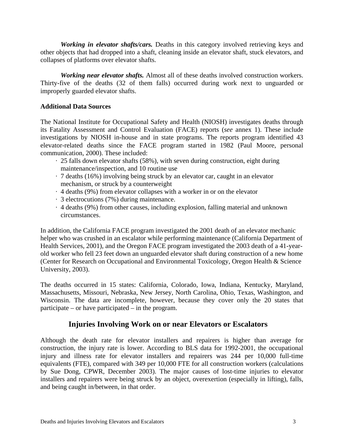*Working in elevator shafts/cars.* Deaths in this category involved retrieving keys and other objects that had dropped into a shaft, cleaning inside an elevator shaft, stuck elevators, and collapses of platforms over elevator shafts.

 *Working near elevator shafts.* Almost all of these deaths involved construction workers. Thirty-five of the deaths (32 of them falls) occurred during work next to unguarded or improperly guarded elevator shafts.

### **Additional Data Sources**

The National Institute for Occupational Safety and Health (NIOSH) investigates deaths through its Fatality Assessment and Control Evaluation (FACE) reports (*see* annex 1). These include investigations by NIOSH in-house and in state programs. The reports program identified 43 elevator-related deaths since the FACE program started in 1982 (Paul Moore, personal communication, 2000). These included:

- · 25 falls down elevator shafts (58%), with seven during construction, eight during maintenance/inspection, and 10 routine use
- · 7 deaths (16%) involving being struck by an elevator car, caught in an elevator mechanism, or struck by a counterweight
- · 4 deaths (9%) from elevator collapses with a worker in or on the elevator
- · 3 electrocutions (7%) during maintenance.
- · 4 deaths (9%) from other causes, including explosion, falling material and unknown circumstances.

In addition, the California FACE program investigated the 2001 death of an elevator mechanic helper who was crushed in an escalator while performing maintenance (California Department of Health Services, 2001), and the Oregon FACE program investigated the 2003 death of a 41-yearold worker who fell 23 feet down an unguarded elevator shaft during construction of a new home (Center for Research on Occupational and Environmental Toxicology, Oregon Health & Science University, 2003).

The deaths occurred in 15 states: California, Colorado, Iowa, Indiana, Kentucky, Maryland, Massachusetts, Missouri, Nebraska, New Jersey, North Carolina, Ohio, Texas, Washington, and Wisconsin. The data are incomplete, however, because they cover only the 20 states that participate – or have participated – in the program.

# **Injuries Involving Work on or near Elevators or Escalators**

Although the death rate for elevator installers and repairers is higher than average for construction, the injury rate is lower. According to BLS data for 1992-2001, the occupational injury and illness rate for elevator installers and repairers was 244 per 10,000 full-time equivalents (FTE), compared with 349 per 10,000 FTE for all construction workers (calculations by Sue Dong, CPWR, December 2003). The major causes of lost-time injuries to elevator installers and repairers were being struck by an object, overexertion (especially in lifting), falls, and being caught in/between, in that order.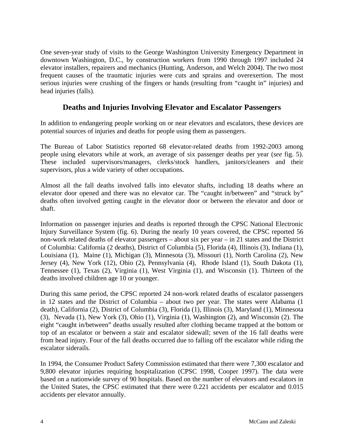One seven-year study of visits to the George Washington University Emergency Department in downtown Washington, D.C., by construction workers from 1990 through 1997 included 24 elevator installers, repairers and mechanics (Hunting, Anderson, and Welch 2004). The two most frequent causes of the traumatic injuries were cuts and sprains and overexertion. The most serious injuries were crushing of the fingers or hands (resulting from "caught in" injuries) and head injuries (falls).

# **Deaths and Injuries Involving Elevator and Escalator Passengers**

In addition to endangering people working on or near elevators and escalators, these devices are potential sources of injuries and deaths for people using them as passengers.

The Bureau of Labor Statistics reported 68 elevator-related deaths from 1992-2003 among people using elevators while at work, an average of six passenger deaths per year (*see* fig. 5). These included supervisors/managers, clerks/stock handlers, janitors/cleaners and their supervisors, plus a wide variety of other occupations.

Almost all the fall deaths involved falls into elevator shafts, including 18 deaths where an elevator door opened and there was no elevator car. The "caught in/between" and "struck by" deaths often involved getting caught in the elevator door or between the elevator and door or shaft.

Information on passenger injuries and deaths is reported through the CPSC National Electronic Injury Surveillance System (fig. 6). During the nearly 10 years covered, the CPSC reported 56 non-work related deaths of elevator passengers – about six per year – in 21 states and the District of Columbia: California (2 deaths), District of Columbia (5), Florida (4), Illinois (3), Indiana (1), Louisiana (1), Maine (1), Michigan (3), Minnesota (3), Missouri (1), North Carolina (2), New Jersey (4), New York (12), Ohio (2), Pennsylvania (4), Rhode Island (1), South Dakota (1), Tennessee (1), Texas (2), Virginia (1), West Virginia (1), and Wisconsin (1). Thirteen of the deaths involved children age 10 or younger.

During this same period, the CPSC reported 24 non-work related deaths of escalator passengers in 12 states and the District of Columbia – about two per year. The states were Alabama (1 death), California (2), District of Columbia (3), Florida (1), Illinois (3), Maryland (1), Minnesota (3), Nevada (1), New York (3), Ohio (1), Virginia (1), Washington (2), and Wisconsin (2). The eight "caught in/between" deaths usually resulted after clothing became trapped at the bottom or top of an escalator or between a stair and escalator sidewall; seven of the 16 fall deaths were from head injury. Four of the fall deaths occurred due to falling off the escalator while riding the escalator siderails.

In 1994, the Consumer Product Safety Commission estimated that there were 7,300 escalator and 9,800 elevator injuries requiring hospitalization (CPSC 1998, Cooper 1997). The data were based on a nationwide survey of 90 hospitals. Based on the number of elevators and escalators in the United States, the CPSC estimated that there were 0.221 accidents per escalator and 0.015 accidents per elevator annually.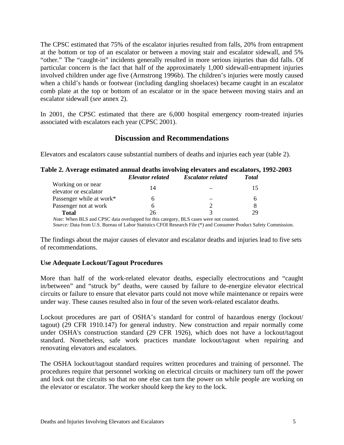The CPSC estimated that 75% of the escalator injuries resulted from falls, 20% from entrapment at the bottom or top of an escalator or between a moving stair and escalator sidewall, and 5% "other." The "caught-in" incidents generally resulted in more serious injuries than did falls. Of particular concern is the fact that half of the approximately 1,000 sidewall-entrapment injuries involved children under age five (Armstrong 1996b). The children's injuries were mostly caused when a child's hands or footwear (including dangling shoelaces) became caught in an escalator comb plate at the top or bottom of an escalator or in the space between moving stairs and an escalator sidewall (*see* annex 2).

In 2001, the CPSC estimated that there are 6,000 hospital emergency room-treated injuries associated with escalators each year (CPSC 2001).

# **Discussion and Recommendations**

Elevators and escalators cause substantial numbers of deaths and injuries each year (table 2).

|    |                        | <b>Total</b>                                                                                                       |
|----|------------------------|--------------------------------------------------------------------------------------------------------------------|
|    |                        |                                                                                                                    |
|    |                        |                                                                                                                    |
| h  |                        | h                                                                                                                  |
| h  |                        |                                                                                                                    |
| 26 |                        | 29                                                                                                                 |
|    | Elevator related<br>14 | Table 2. Average estimated annual deaths involving elevators and escalators, 1992-2003<br><b>Escalator related</b> |

*Source:* Data from U.S. Bureau of Labor Statistics CFOI Research File (\*) and Consumer Product Safety Commission.

The findings about the major causes of elevator and escalator deaths and injuries lead to five sets of recommendations.

# **Use Adequate Lockout/Tagout Procedures**

More than half of the work-related elevator deaths, especially electrocutions and "caught in/between" and "struck by" deaths, were caused by failure to de-energize elevator electrical circuits or failure to ensure that elevator parts could not move while maintenance or repairs were under way. These causes resulted also in four of the seven work-related escalator deaths.

Lockout procedures are part of OSHA's standard for control of hazardous energy (lockout/ tagout) (29 CFR 1910.147) for general industry. New construction and repair normally come under OSHA's construction standard (29 CFR 1926), which does not have a lockout/tagout standard. Nonetheless, safe work practices mandate lockout/tagout when repairing and renovating elevators and escalators.

The OSHA lockout/tagout standard requires written procedures and training of personnel. The procedures require that personnel working on electrical circuits or machinery turn off the power and lock out the circuits so that no one else can turn the power on while people are working on the elevator or escalator. The worker should keep the key to the lock.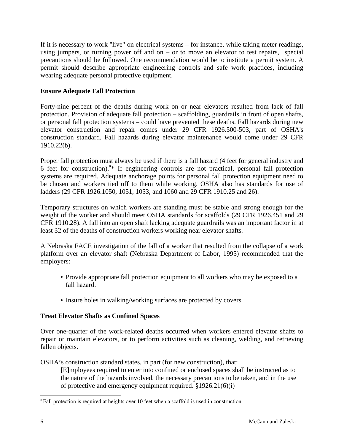If it is necessary to work "live" on electrical systems – for instance, while taking meter readings, using jumpers, or turning power off and on  $-$  or to move an elevator to test repairs, special precautions should be followed. One recommendation would be to institute a permit system. A permit should describe appropriate engineering controls and safe work practices, including wearing adequate personal protective equipment.

# **Ensure Adequate Fall Protection**

Forty-nine percent of the deaths during work on or near elevators resulted from lack of fall protection. Provision of adequate fall protection – scaffolding, guardrails in front of open shafts, or personal fall protection systems – could have prevented these deaths. Fall hazards during new elevator construction and repair comes under 29 CFR 1926.500-503, part of OSHA's construction standard. Fall hazards during elevator maintenance would come under 29 CFR 1910.22(b).

Proper fall protection must always be used if there is a fall hazard (4 feet for general industry and 6 feet for construction).<sup>3\*</sup> If engineering controls are not practical, personal fall protection systems are required. Adequate anchorage points for personal fall protection equipment need to be chosen and workers tied off to them while working. OSHA also has standards for use of ladders (29 CFR 1926.1050, 1051, 1053, and 1060 and 29 CFR 1910.25 and 26).

Temporary structures on which workers are standing must be stable and strong enough for the weight of the worker and should meet OSHA standards for scaffolds (29 CFR 1926.451 and 29 CFR 1910.28). A fall into an open shaft lacking adequate guardrails was an important factor in at least 32 of the deaths of construction workers working near elevator shafts.

A Nebraska FACE investigation of the fall of a worker that resulted from the collapse of a work platform over an elevator shaft (Nebraska Department of Labor, 1995) recommended that the employers:

- Provide appropriate fall protection equipment to all workers who may be exposed to a fall hazard.
- Insure holes in walking/working surfaces are protected by covers.

# **Treat Elevator Shafts as Confined Spaces**

Over one-quarter of the work-related deaths occurred when workers entered elevator shafts to repair or maintain elevators, or to perform activities such as cleaning, welding, and retrieving fallen objects.

OSHA's construction standard states, in part (for new construction), that:

[E]mployees required to enter into confined or enclosed spaces shall be instructed as to the nature of the hazards involved, the necessary precautions to be taken, and in the use of protective and emergency equipment required. §1926.21(6)(i)

<sup>&</sup>lt;u>.</u> <sup>a</sup> Fall protection is required at heights over 10 feet when a scaffold is used in construction.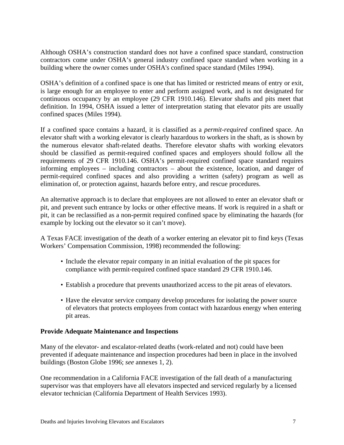Although OSHA's construction standard does not have a confined space standard, construction contractors come under OSHA's general industry confined space standard when working in a building where the owner comes under OSHA's confined space standard (Miles 1994).

OSHA's definition of a confined space is one that has limited or restricted means of entry or exit, is large enough for an employee to enter and perform assigned work, and is not designated for continuous occupancy by an employee (29 CFR 1910.146). Elevator shafts and pits meet that definition. In 1994, OSHA issued a letter of interpretation stating that elevator pits are usually confined spaces (Miles 1994).

If a confined space contains a hazard, it is classified as a *permit-required* confined space. An elevator shaft with a working elevator is clearly hazardous to workers in the shaft, as is shown by the numerous elevator shaft-related deaths. Therefore elevator shafts with working elevators should be classified as permit-required confined spaces and employers should follow all the requirements of 29 CFR 1910.146. OSHA's permit-required confined space standard requires informing employees – including contractors – about the existence, location, and danger of permit-required confined spaces and also providing a written (safety) program as well as elimination of, or protection against, hazards before entry, and rescue procedures.

An alternative approach is to declare that employees are not allowed to enter an elevator shaft or pit, and prevent such entrance by locks or other effective means. If work is required in a shaft or pit, it can be reclassified as a non-permit required confined space by eliminating the hazards (for example by locking out the elevator so it can't move).

A Texas FACE investigation of the death of a worker entering an elevator pit to find keys (Texas Workers' Compensation Commission, 1998) recommended the following:

- Include the elevator repair company in an initial evaluation of the pit spaces for compliance with permit-required confined space standard 29 CFR 1910.146.
- Establish a procedure that prevents unauthorized access to the pit areas of elevators.
- Have the elevator service company develop procedures for isolating the power source of elevators that protects employees from contact with hazardous energy when entering pit areas.

# **Provide Adequate Maintenance and Inspections**

Many of the elevator- and escalator-related deaths (work-related and not) could have been prevented if adequate maintenance and inspection procedures had been in place in the involved buildings (Boston Globe 1996; *see* annexes 1, 2).

One recommendation in a California FACE investigation of the fall death of a manufacturing supervisor was that employers have all elevators inspected and serviced regularly by a licensed elevator technician (California Department of Health Services 1993).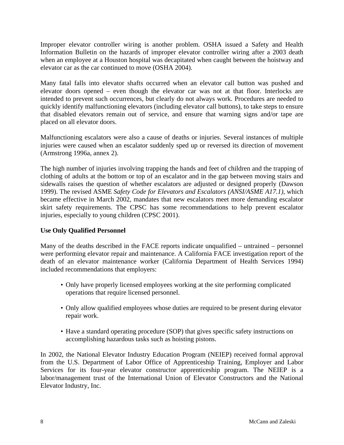Improper elevator controller wiring is another problem. OSHA issued a Safety and Health Information Bulletin on the hazards of improper elevator controller wiring after a 2003 death when an employee at a Houston hospital was decapitated when caught between the hoistway and elevator car as the car continued to move (OSHA 2004).

Many fatal falls into elevator shafts occurred when an elevator call button was pushed and elevator doors opened – even though the elevator car was not at that floor. Interlocks are intended to prevent such occurrences, but clearly do not always work. Procedures are needed to quickly identify malfunctioning elevators (including elevator call buttons), to take steps to ensure that disabled elevators remain out of service, and ensure that warning signs and/or tape are placed on all elevator doors.

Malfunctioning escalators were also a cause of deaths or injuries. Several instances of multiple injuries were caused when an escalator suddenly sped up or reversed its direction of movement (Armstrong 1996a, annex 2).

The high number of injuries involving trapping the hands and feet of children and the trapping of clothing of adults at the bottom or top of an escalator and in the gap between moving stairs and sidewalls raises the question of whether escalators are adjusted or designed properly (Dawson 1999). The revised ASME *Safety Code for Elevators and Escalators (ANSI/ASME A17.1)*, which became effective in March 2002, mandates that new escalators meet more demanding escalator skirt safety requirements. The CPSC has some recommendations to help prevent escalator injuries, especially to young children (CPSC 2001).

# **Use Only Qualified Personnel**

Many of the deaths described in the FACE reports indicate unqualified – untrained – personnel were performing elevator repair and maintenance. A California FACE investigation report of the death of an elevator maintenance worker (California Department of Health Services 1994) included recommendations that employers:

- Only have properly licensed employees working at the site performing complicated operations that require licensed personnel.
- Only allow qualified employees whose duties are required to be present during elevator repair work.
- Have a standard operating procedure (SOP) that gives specific safety instructions on accomplishing hazardous tasks such as hoisting pistons.

In 2002, the National Elevator Industry Education Program (NEIEP) received formal approval from the U.S. Department of Labor Office of Apprenticeship Training, Employer and Labor Services for its four-year elevator constructor apprenticeship program. The NEIEP is a labor/management trust of the International Union of Elevator Constructors and the National Elevator Industry, Inc.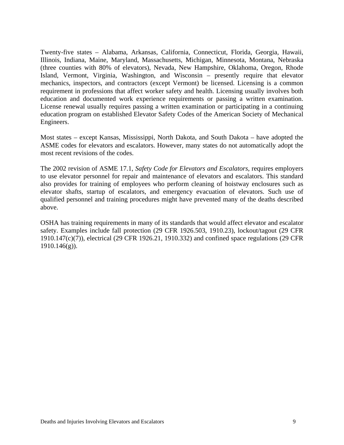Twenty-five states – Alabama, Arkansas, California, Connecticut, Florida, Georgia, Hawaii, Illinois, Indiana, Maine, Maryland, Massachusetts, Michigan, Minnesota, Montana, Nebraska (three counties with 80% of elevators), Nevada, New Hampshire, Oklahoma, Oregon, Rhode Island, Vermont, Virginia, Washington, and Wisconsin – presently require that elevator mechanics, inspectors, and contractors (except Vermont) be licensed. Licensing is a common requirement in professions that affect worker safety and health. Licensing usually involves both education and documented work experience requirements or passing a written examination. License renewal usually requires passing a written examination or participating in a continuing education program on established Elevator Safety Codes of the American Society of Mechanical Engineers.

Most states – except Kansas, Mississippi, North Dakota, and South Dakota – have adopted the ASME codes for elevators and escalators. However, many states do not automatically adopt the most recent revisions of the codes.

The 2002 revision of ASME 17.1, *Safety Code for Elevators and Escalators*, requires employers to use elevator personnel for repair and maintenance of elevators and escalators. This standard also provides for training of employees who perform cleaning of hoistway enclosures such as elevator shafts, startup of escalators, and emergency evacuation of elevators. Such use of qualified personnel and training procedures might have prevented many of the deaths described above.

OSHA has training requirements in many of its standards that would affect elevator and escalator safety. Examples include fall protection (29 CFR 1926.503, 1910.23), lockout/tagout (29 CFR 1910.147(c)(7)), electrical (29 CFR 1926.21, 1910.332) and confined space regulations (29 CFR  $1910.146(g)$ ).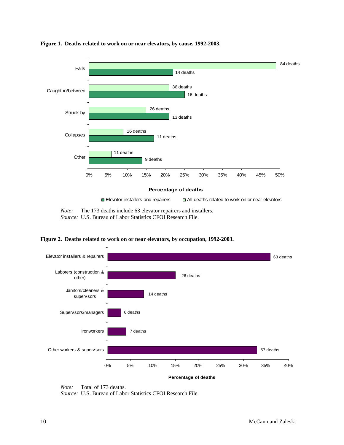

**Figure 1. Deaths related to work on or near elevators, by cause, 1992-2003.** 

*Note:* The 173 deaths include 63 elevator repairers and installers. *Source:* U.S. Bureau of Labor Statistics CFOI Research File.



**Figure 2. Deaths related to work on or near elevators, by occupation, 1992-2003.** 

*Source:* U.S. Bureau of Labor Statistics CFOI Research File.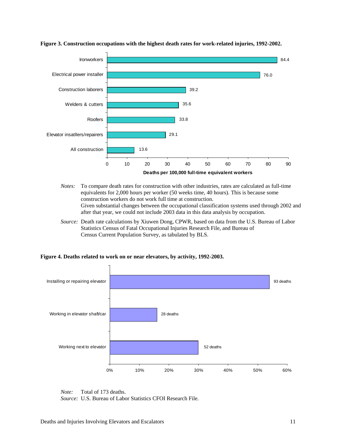

#### **Figure 3. Construction occupations with the highest death rates for work-related injuries, 1992-2002.**

- *Notes:* To compare death rates for construction with other industries, rates are calculated as full-time equivalents for 2,000 hours per worker (50 weeks time, 40 hours). This is because some construction workers do not work full time at construction. Given substantial changes between the occupational classification systems used through 2002 and after that year, we could not include 2003 data in this data analysis by occupation.
- *Source:* Death rate calculations by Xiuwen Dong, CPWR, based on data from the U.S. Bureau of Labor Statistics Census of Fatal Occupational Injuries Research File, and Bureau of Census Current Population Survey, as tabulated by BLS.



**Figure 4. Deaths related to work on or near elevators, by activity, 1992-2003.** 

*Source:* U.S. Bureau of Labor Statistics CFOI Research File.

*Note:* Total of 173 deaths.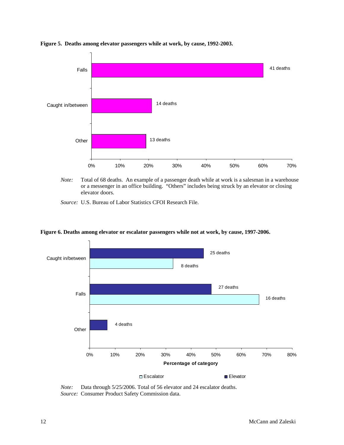

**Figure 5. Deaths among elevator passengers while at work, by cause, 1992-2003.** 

*Note:* Total of 68 deaths. An example of a passenger death while at work is a salesman in a warehouse or a messenger in an office building. "Others" includes being struck by an elevator or closing elevator doors.

*Source:* U.S. Bureau of Labor Statistics CFOI Research File.



**Figure 6. Deaths among elevator or escalator passengers while not at work, by cause, 1997-2006.** 

*Note:* Data through 5/25/2006. Total of 56 elevator and 24 escalator deaths.  *Source:* Consumer Product Safety Commission data.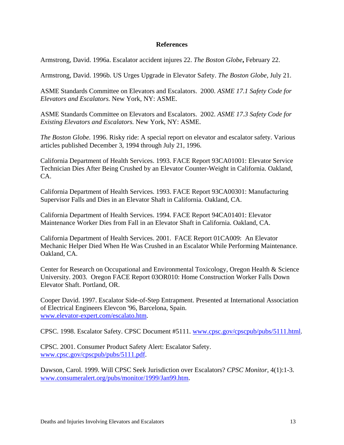### **References**

Armstrong, David. 1996a. Escalator accident injures 22. *The Boston Globe***,** February 22.

Armstrong, David. 1996b. US Urges Upgrade in Elevator Safety. *The Boston Globe,* July 21.

ASME Standards Committee on Elevators and Escalators. 2000. *ASME 17.1 Safety Code for Elevators and Escalators.* New York, NY: ASME.

ASME Standards Committee on Elevators and Escalators. 2002. *ASME 17.3 Safety Code for Existing Elevators and Escalators.* New York, NY: ASME.

*The Boston Globe.* 1996. Risky ride: A special report on elevator and escalator safety. Various articles published December 3, 1994 through July 21, 1996.

California Department of Health Services. 1993. FACE Report 93CA01001: Elevator Service Technician Dies After Being Crushed by an Elevator Counter-Weight in California. Oakland, CA.

California Department of Health Services. 1993. FACE Report 93CA00301: Manufacturing Supervisor Falls and Dies in an Elevator Shaft in California. Oakland, CA.

California Department of Health Services. 1994. FACE Report 94CA01401: Elevator Maintenance Worker Dies from Fall in an Elevator Shaft in California. Oakland, CA.

California Department of Health Services. 2001. FACE Report 01CA009: An Elevator Mechanic Helper Died When He Was Crushed in an Escalator While Performing Maintenance. Oakland, CA.

Center for Research on Occupational and Environmental Toxicology, Oregon Health & Science University. 2003. Oregon FACE Report 03OR010: Home Construction Worker Falls Down Elevator Shaft. Portland, OR.

Cooper David. 1997. Escalator Side-of-Step Entrapment. Presented at International Association of Electrical Engineers Elevcon '96, Barcelona, Spain. www.elevator-expert.com/escalato.htm.

CPSC. 1998. Escalator Safety. CPSC Document #5111. www.cpsc.gov/cpscpub/pubs/5111.html.

CPSC. 2001. Consumer Product Safety Alert: Escalator Safety. www.cpsc.gov/cpscpub/pubs/5111.pdf.

Dawson, Carol. 1999. Will CPSC Seek Jurisdiction over Escalators? *CPSC Monitor,* 4(1):1-3. www.consumeralert.org/pubs/monitor/1999/Jan99.htm.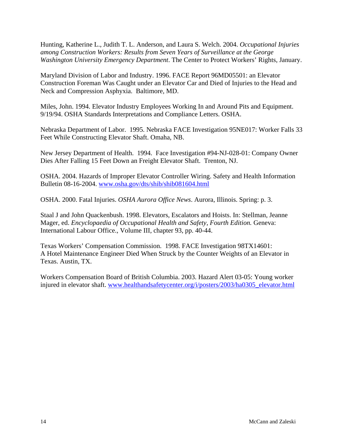Hunting, Katherine L., Judith T. L. Anderson, and Laura S. Welch. 2004. *Occupational Injuries among Construction Workers: Results from Seven Years of Surveillance at the George Washington University Emergency Department*. The Center to Protect Workers' Rights, January.

Maryland Division of Labor and Industry. 1996. FACE Report 96MD05501: an Elevator Construction Foreman Was Caught under an Elevator Car and Died of Injuries to the Head and Neck and Compression Asphyxia. Baltimore, MD.

Miles, John. 1994. Elevator Industry Employees Working In and Around Pits and Equipment. 9/19/94. OSHA Standards Interpretations and Compliance Letters. OSHA.

Nebraska Department of Labor. 1995. Nebraska FACE Investigation 95NE017: Worker Falls 33 Feet While Constructing Elevator Shaft. Omaha, NB.

New Jersey Department of Health. 1994. Face Investigation #94-NJ-028-01: Company Owner Dies After Falling 15 Feet Down an Freight Elevator Shaft. Trenton, NJ.

OSHA. 2004. Hazards of Improper Elevator Controller Wiring. Safety and Health Information Bulletin 08-16-2004. www.osha.gov/dts/shib/shib081604.html

OSHA. 2000. Fatal Injuries. *OSHA Aurora Office News*. Aurora, Illinois. Spring: p. 3.

Staal J and John Quackenbush. 1998. Elevators, Escalators and Hoists. In: Stellman, Jeanne Mager, ed. *Encyclopaedia of Occupational Health and Safety, Fourth Edition.* Geneva: International Labour Office., Volume III, chapter 93, pp. 40-44.

Texas Workers' Compensation Commission. 1998. FACE Investigation 98TX14601: A Hotel Maintenance Engineer Died When Struck by the Counter Weights of an Elevator in Texas. Austin, TX.

Workers Compensation Board of British Columbia. 2003. Hazard Alert 03-05: Young worker injured in elevator shaft. www.healthandsafetycenter.org/i/posters/2003/ha0305\_elevator.html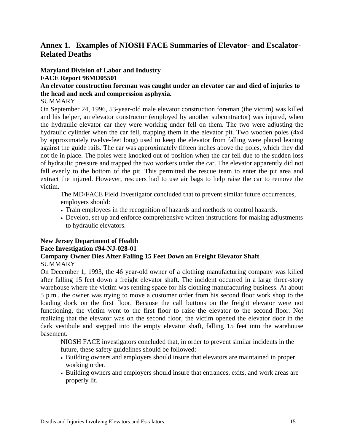# **Annex 1. Examples of NIOSH FACE Summaries of Elevator- and Escalator-Related Deaths**

### **Maryland Division of Labor and Industry FACE Report 96MD05501**

# **An elevator construction foreman was caught under an elevator car and died of injuries to the head and neck and compression asphyxia.**

# SUMMARY

On September 24, 1996, 53-year-old male elevator construction foreman (the victim) was killed and his helper, an elevator constructor (employed by another subcontractor) was injured, when the hydraulic elevator car they were working under fell on them. The two were adjusting the hydraulic cylinder when the car fell, trapping them in the elevator pit. Two wooden poles (4x4 by approximately twelve-feet long) used to keep the elevator from falling were placed leaning against the guide rails. The car was approximately fifteen inches above the poles, which they did not tie in place. The poles were knocked out of position when the car fell due to the sudden loss of hydraulic pressure and trapped the two workers under the car. The elevator apparently did not fall evenly to the bottom of the pit. This permitted the rescue team to enter the pit area and extract the injured. However, rescuers had to use air bags to help raise the car to remove the victim.

The MD/FACE Field Investigator concluded that to prevent similar future occurrences, employers should:

- Train employees in the recognition of hazards and methods to control hazards.
- Develop, set up and enforce comprehensive written instructions for making adjustments to hydraulic elevators.

#### **New Jersey Department of Health Face Investigation #94-NJ-028-01 Company Owner Dies After Falling 15 Feet Down an Freight Elevator Shaft SUMMARY**

On December 1, 1993, the 46 year-old owner of a clothing manufacturing company was killed after falling 15 feet down a freight elevator shaft. The incident occurred in a large three-story warehouse where the victim was renting space for his clothing manufacturing business. At about 5 p.m., the owner was trying to move a customer order from his second floor work shop to the loading dock on the first floor. Because the call buttons on the freight elevator were not functioning, the victim went to the first floor to raise the elevator to the second floor. Not realizing that the elevator was on the second floor, the victim opened the elevator door in the dark vestibule and stepped into the empty elevator shaft, falling 15 feet into the warehouse basement.

NIOSH FACE investigators concluded that, in order to prevent similar incidents in the future, these safety guidelines should be followed:

- Building owners and employers should insure that elevators are maintained in proper working order.
- Building owners and employers should insure that entrances, exits, and work areas are properly lit.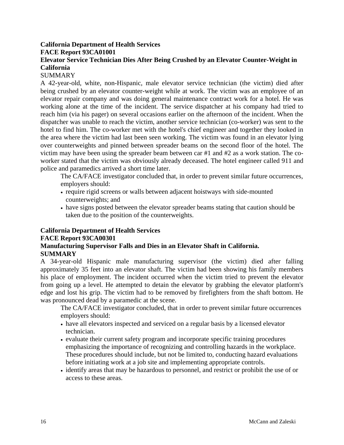# **California Department of Health Services FACE Report 93CA01001**

# **Elevator Service Technician Dies After Being Crushed by an Elevator Counter-Weight in California**

# **SUMMARY**

A 42-year-old, white, non-Hispanic, male elevator service technician (the victim) died after being crushed by an elevator counter-weight while at work. The victim was an employee of an elevator repair company and was doing general maintenance contract work for a hotel. He was working alone at the time of the incident. The service dispatcher at his company had tried to reach him (via his pager) on several occasions earlier on the afternoon of the incident. When the dispatcher was unable to reach the victim, another service technician (co-worker) was sent to the hotel to find him. The co-worker met with the hotel's chief engineer and together they looked in the area where the victim had last been seen working. The victim was found in an elevator lying over counterweights and pinned between spreader beams on the second floor of the hotel. The victim may have been using the spreader beam between car #1 and #2 as a work station. The coworker stated that the victim was obviously already deceased. The hotel engineer called 911 and police and paramedics arrived a short time later.

The CA/FACE investigator concluded that, in order to prevent similar future occurrences, employers should:

- require rigid screens or walls between adjacent hoistways with side-mounted counterweights; and
- have signs posted between the elevator spreader beams stating that caution should be taken due to the position of the counterweights.

# **California Department of Health Services**

# **FACE Report 93CA00301**

# **Manufacturing Supervisor Falls and Dies in an Elevator Shaft in California. SUMMARY**

A 34-year-old Hispanic male manufacturing supervisor (the victim) died after falling approximately 35 feet into an elevator shaft. The victim had been showing his family members his place of employment. The incident occurred when the victim tried to prevent the elevator from going up a level. He attempted to detain the elevator by grabbing the elevator platform's edge and lost his grip. The victim had to be removed by firefighters from the shaft bottom. He was pronounced dead by a paramedic at the scene.

The CA/FACE investigator concluded, that in order to prevent similar future occurrences employers should:

- have all elevators inspected and serviced on a regular basis by a licensed elevator technician.
- evaluate their current safety program and incorporate specific training procedures emphasizing the importance of recognizing and controlling hazards in the workplace. These procedures should include, but not be limited to, conducting hazard evaluations before initiating work at a job site and implementing appropriate controls.
- identify areas that may be hazardous to personnel, and restrict or prohibit the use of or access to these areas.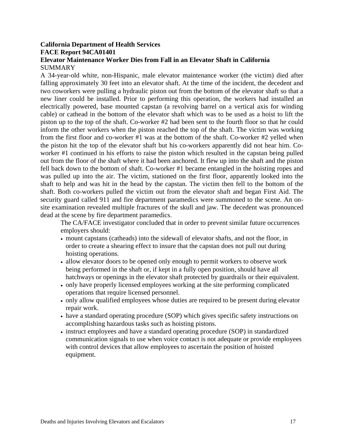# **California Department of Health Services FACE Report 94CA01401**

### **Elevator Maintenance Worker Dies from Fall in an Elevator Shaft in California SUMMARY**

A 34-year-old white, non-Hispanic, male elevator maintenance worker (the victim) died after falling approximately 30 feet into an elevator shaft. At the time of the incident, the decedent and two coworkers were pulling a hydraulic piston out from the bottom of the elevator shaft so that a new liner could be installed. Prior to performing this operation, the workers had installed an electrically powered, base mounted capstan (a revolving barrel on a vertical axis for winding cable) or cathead in the bottom of the elevator shaft which was to be used as a hoist to lift the piston up to the top of the shaft. Co-worker #2 had been sent to the fourth floor so that he could inform the other workers when the piston reached the top of the shaft. The victim was working from the first floor and co-worker #1 was at the bottom of the shaft. Co-worker #2 yelled when the piston hit the top of the elevator shaft but his co-workers apparently did not hear him. Coworker #1 continued in his efforts to raise the piston which resulted in the capstan being pulled out from the floor of the shaft where it had been anchored. It flew up into the shaft and the piston fell back down to the bottom of shaft. Co-worker #1 became entangled in the hoisting ropes and was pulled up into the air. The victim, stationed on the first floor, apparently looked into the shaft to help and was hit in the head by the capstan. The victim then fell to the bottom of the shaft. Both co-workers pulled the victim out from the elevator shaft and began First Aid. The security guard called 911 and fire department paramedics were summoned to the scene. An onsite examination revealed multiple fractures of the skull and jaw. The decedent was pronounced dead at the scene by fire department paramedics.

The CA/FACE investigator concluded that in order to prevent similar future occurrences employers should:

- mount capstans (catheads) into the sidewall of elevator shafts, and not the floor, in order to create a shearing effect to insure that the capstan does not pull out during hoisting operations.
- allow elevator doors to be opened only enough to permit workers to observe work being performed in the shaft or, if kept in a fully open position, should have all hatchways or openings in the elevator shaft protected by guardrails or their equivalent.
- only have properly licensed employees working at the site performing complicated operations that require licensed personnel.
- only allow qualified employees whose duties are required to be present during elevator repair work.
- have a standard operating procedure (SOP) which gives specific safety instructions on accomplishing hazardous tasks such as hoisting pistons.
- instruct employees and have a standard operating procedure (SOP) in standardized communication signals to use when voice contact is not adequate or provide employees with control devices that allow employees to ascertain the position of hoisted equipment.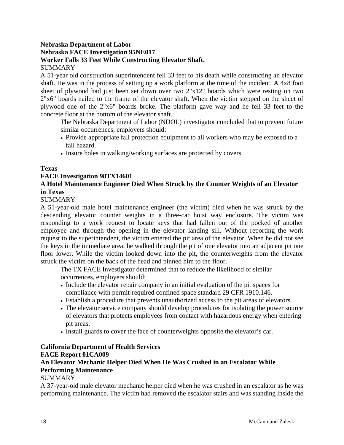### **Nebraska Department of Labor Nebraska FACE Investigation 95NE017 Worker Falls 33 Feet While Constructing Elevator Shaft. SUMMARY**

A 51-year old construction superintendent fell 33 feet to his death while constructing an elevator shaft. He was in the process of setting up a work platform at the time of the incident. A 4x8 foot sheet of plywood had just been set down over two 2"x12" boards which were resting on two 2"x6" boards nailed to the frame of the elevator shaft. When the victim stepped on the sheet of plywood one of the 2"x6" boards broke. The platform gave way and he fell 33 feet to the concrete floor at the bottom of the elevator shaft.

The Nebraska Department of Labor (NDOL) investigator concluded that to prevent future similar occurrences, employers should:

- Provide appropriate fall protection equipment to all workers who may be exposed to a fall hazard.
- Insure holes in walking/working surfaces are protected by covers.

### **Texas**

### **FACE Investigation 98TX14601**

# **A Hotel Maintenance Engineer Died When Struck by the Counter Weights of an Elevator in Texas**

### SUMMARY

A 51-year-old male hotel maintenance engineer (the victim) died when he was struck by the descending elevator counter weights in a three-car hoist way enclosure. The victim was responding to a work request to locate keys that had fallen out of the pocked of another employee and through the opening in the elevator landing sill. Without reporting the work request to the superintendent, the victim entered the pit area of the elevator. When he did not see the keys in the immediate area, he walked through the pit of one elevator into an adjacent pit one floor lower. While the victim looked down into the pit, the counterweights from the elevator struck the victim on the back of the head and pinned him to the floor.

The TX FACE Investigator determined that to reduce the likelihood of similar occurrences, employers should:

- Include the elevator repair company in an initial evaluation of the pit spaces for compliance with permit-required confined space standard 29 CFR 1910.146.
- Establish a procedure that prevents unauthorized access to the pit areas of elevators.
- The elevator service company should develop procedures for isolating the power source of elevators that protects employees from contact with hazardous energy when entering pit areas.
- Install guards to cover the face of counterweights opposite the elevator's car.

# **California Department of Health Services**

# **FACE Report 01CA009**

# **An Elevator Mechanic Helper Died When He Was Crushed in an Escalator While Performing Maintenance**

# SUMMARY

A 37-year-old male elevator mechanic helper died when he was crushed in an escalator as he was performing maintenance. The victim had removed the escalator stairs and was standing inside the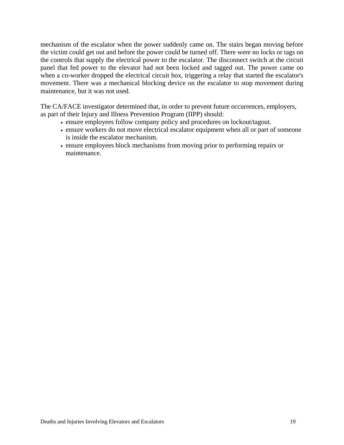mechanism of the escalator when the power suddenly came on. The stairs began moving before the victim could get out and before the power could be turned off. There were no locks or tags on the controls that supply the electrical power to the escalator. The disconnect switch at the circuit panel that fed power to the elevator had not been locked and tagged out. The power came on when a co-worker dropped the electrical circuit box, triggering a relay that started the escalator's movement. There was a mechanical blocking device on the escalator to stop movement during maintenance, but it was not used.

The CA/FACE investigator determined that, in order to prevent future occurrences, employers, as part of their Injury and Illness Prevention Program (IIPP) should:

- ensure employees follow company policy and procedures on lockout/tagout.
- ensure workers do not move electrical escalator equipment when all or part of someone is inside the escalator mechanism.
- ensure employees block mechanisms from moving prior to performing repairs or maintenance.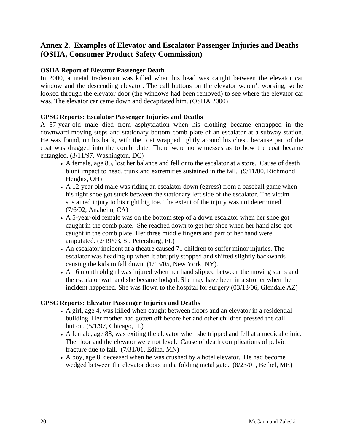# **Annex 2. Examples of Elevator and Escalator Passenger Injuries and Deaths (OSHA, Consumer Product Safety Commission)**

# **OSHA Report of Elevator Passenger Death**

In 2000, a metal tradesman was killed when his head was caught between the elevator car window and the descending elevator. The call buttons on the elevator weren't working, so he looked through the elevator door (the windows had been removed) to see where the elevator car was. The elevator car came down and decapitated him. (OSHA 2000)

### **CPSC Reports: Escalator Passenger Injuries and Deaths**

A 37-year-old male died from asphyxiation when his clothing became entrapped in the downward moving steps and stationary bottom comb plate of an escalator at a subway station. He was found, on his back, with the coat wrapped tightly around his chest, because part of the coat was dragged into the comb plate. There were no witnesses as to how the coat became entangled. (3/11/97, Washington, DC)

- A female, age 85, lost her balance and fell onto the escalator at a store. Cause of death blunt impact to head, trunk and extremities sustained in the fall. (9/11/00, Richmond Heights, OH)
- A 12-year old male was riding an escalator down (egress) from a baseball game when his right shoe got stuck between the stationary left side of the escalator. The victim sustained injury to his right big toe. The extent of the injury was not determined. (7/6/02, Anaheim, CA)
- A 5-year-old female was on the bottom step of a down escalator when her shoe got caught in the comb plate. She reached down to get her shoe when her hand also got caught in the comb plate. Her three middle fingers and part of her hand were amputated. (2/19/03, St. Petersburg, FL)
- An escalator incident at a theatre caused 71 children to suffer minor injuries. The escalator was heading up when it abruptly stopped and shifted slightly backwards causing the kids to fall down. (1/13/05, New York, NY).
- A 16 month old girl was injured when her hand slipped between the moving stairs and the escalator wall and she became lodged. She may have been in a stroller when the incident happened. She was flown to the hospital for surgery (03/13/06, Glendale AZ)

### **CPSC Reports: Elevator Passenger Injuries and Deaths**

- A girl, age 4, was killed when caught between floors and an elevator in a residential building. Her mother had gotten off before her and other children pressed the call button. (5/1/97, Chicago, IL)
- A female, age 88, was exiting the elevator when she tripped and fell at a medical clinic. The floor and the elevator were not level. Cause of death complications of pelvic fracture due to fall. (7/31/01, Edina, MN)
- A boy, age 8, deceased when he was crushed by a hotel elevator. He had become wedged between the elevator doors and a folding metal gate. (8/23/01, Bethel, ME)